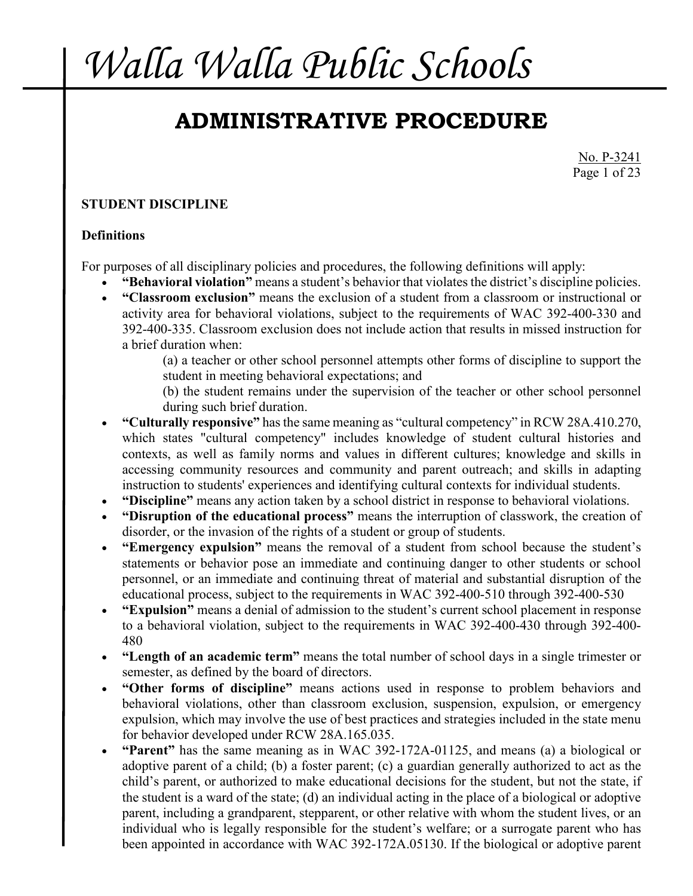## **ADMINISTRATIVE PROCEDURE**

No. P-3241 Page 1 of 23

### **STUDENT DISCIPLINE**

### **Definitions**

For purposes of all disciplinary policies and procedures, the following definitions will apply:

- **"Behavioral violation"** means a student's behavior that violates the district's discipline policies.
- **"Classroom exclusion"** means the exclusion of a student from a classroom or instructional or activity area for behavioral violations, subject to the requirements of WAC 392-400-330 and 392-400-335. Classroom exclusion does not include action that results in missed instruction for a brief duration when:

(a) a teacher or other school personnel attempts other forms of discipline to support the student in meeting behavioral expectations; and

(b) the student remains under the supervision of the teacher or other school personnel during such brief duration.

- **"Culturally responsive"** has the same meaning as "cultural competency" in RCW 28A.410.270, which states "cultural competency" includes knowledge of student cultural histories and contexts, as well as family norms and values in different cultures; knowledge and skills in accessing community resources and community and parent outreach; and skills in adapting instruction to students' experiences and identifying cultural contexts for individual students.
- **"Discipline"** means any action taken by a school district in response to behavioral violations.
- **"Disruption of the educational process"** means the interruption of classwork, the creation of disorder, or the invasion of the rights of a student or group of students.
- **"Emergency expulsion"** means the removal of a student from school because the student's statements or behavior pose an immediate and continuing danger to other students or school personnel, or an immediate and continuing threat of material and substantial disruption of the educational process, subject to the requirements in WAC 392-400-510 through 392-400-530
- **"Expulsion"** means a denial of admission to the student's current school placement in response to a behavioral violation, subject to the requirements in WAC 392-400-430 through 392-400- 480
- **"Length of an academic term"** means the total number of school days in a single trimester or semester, as defined by the board of directors.
- **"Other forms of discipline"** means actions used in response to problem behaviors and behavioral violations, other than classroom exclusion, suspension, expulsion, or emergency expulsion, which may involve the use of best practices and strategies included in the state menu for behavior developed under RCW 28A.165.035.
- **"Parent"** has the same meaning as in WAC 392-172A-01125, and means (a) a biological or adoptive parent of a child; (b) a foster parent; (c) a guardian generally authorized to act as the child's parent, or authorized to make educational decisions for the student, but not the state, if the student is a ward of the state; (d) an individual acting in the place of a biological or adoptive parent, including a grandparent, stepparent, or other relative with whom the student lives, or an individual who is legally responsible for the student's welfare; or a surrogate parent who has been appointed in accordance with WAC 392-172A.05130. If the biological or adoptive parent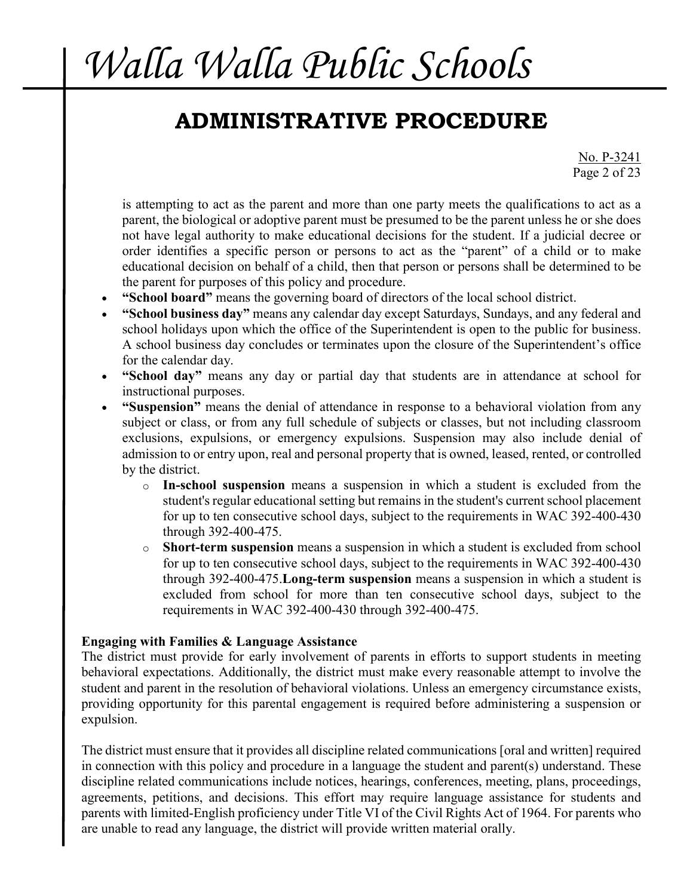### **ADMINISTRATIVE PROCEDURE**

No. P-3241 Page 2 of 23

is attempting to act as the parent and more than one party meets the qualifications to act as a parent, the biological or adoptive parent must be presumed to be the parent unless he or she does not have legal authority to make educational decisions for the student. If a judicial decree or order identifies a specific person or persons to act as the "parent" of a child or to make educational decision on behalf of a child, then that person or persons shall be determined to be the parent for purposes of this policy and procedure.

- **"School board"** means the governing board of directors of the local school district.
- **"School business day"** means any calendar day except Saturdays, Sundays, and any federal and school holidays upon which the office of the Superintendent is open to the public for business. A school business day concludes or terminates upon the closure of the Superintendent's office for the calendar day.
- **"School day"** means any day or partial day that students are in attendance at school for instructional purposes.
- **"Suspension"** means the denial of attendance in response to a behavioral violation from any subject or class, or from any full schedule of subjects or classes, but not including classroom exclusions, expulsions, or emergency expulsions. Suspension may also include denial of admission to or entry upon, real and personal property that is owned, leased, rented, or controlled by the district.
	- o **In-school suspension** means a suspension in which a student is excluded from the student's regular educational setting but remains in the student's current school placement for up to ten consecutive school days, subject to the requirements in WAC 392-400-430 through 392-400-475.
	- o **Short-term suspension** means a suspension in which a student is excluded from school for up to ten consecutive school days, subject to the requirements in WAC 392-400-430 through 392-400-475.**Long-term suspension** means a suspension in which a student is excluded from school for more than ten consecutive school days, subject to the requirements in WAC 392-400-430 through 392-400-475.

### **Engaging with Families & Language Assistance**

The district must provide for early involvement of parents in efforts to support students in meeting behavioral expectations. Additionally, the district must make every reasonable attempt to involve the student and parent in the resolution of behavioral violations. Unless an emergency circumstance exists, providing opportunity for this parental engagement is required before administering a suspension or expulsion.

The district must ensure that it provides all discipline related communications [oral and written] required in connection with this policy and procedure in a language the student and parent(s) understand. These discipline related communications include notices, hearings, conferences, meeting, plans, proceedings, agreements, petitions, and decisions. This effort may require language assistance for students and parents with limited-English proficiency under Title VI of the Civil Rights Act of 1964. For parents who are unable to read any language, the district will provide written material orally.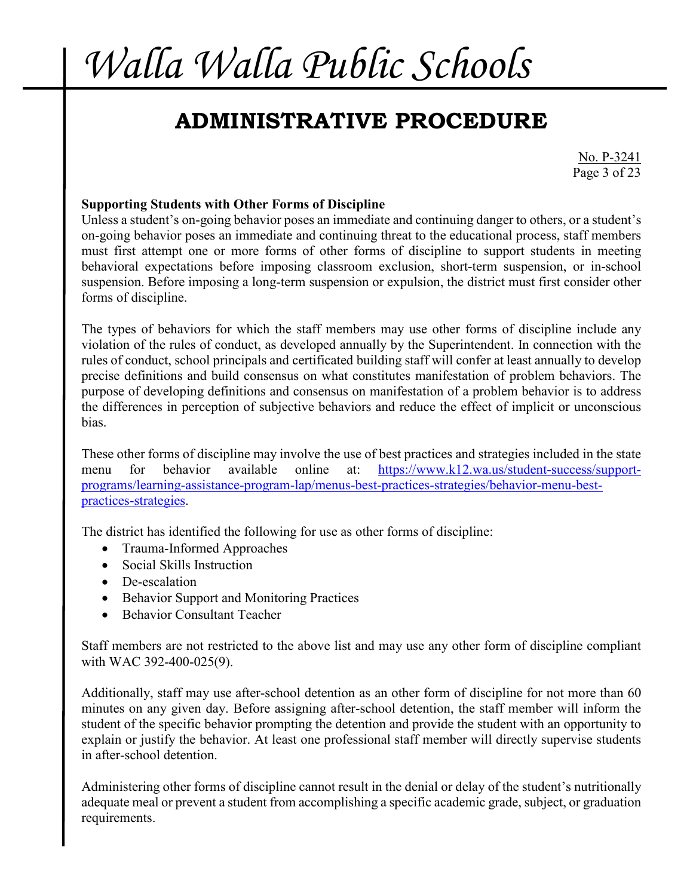## **ADMINISTRATIVE PROCEDURE**

No. P-3241 Page 3 of 23

#### **Supporting Students with Other Forms of Discipline**

Unless a student's on-going behavior poses an immediate and continuing danger to others, or a student's on-going behavior poses an immediate and continuing threat to the educational process, staff members must first attempt one or more forms of other forms of discipline to support students in meeting behavioral expectations before imposing classroom exclusion, short-term suspension, or in-school suspension. Before imposing a long-term suspension or expulsion, the district must first consider other forms of discipline.

The types of behaviors for which the staff members may use other forms of discipline include any violation of the rules of conduct, as developed annually by the Superintendent. In connection with the rules of conduct, school principals and certificated building staff will confer at least annually to develop precise definitions and build consensus on what constitutes manifestation of problem behaviors. The purpose of developing definitions and consensus on manifestation of a problem behavior is to address the differences in perception of subjective behaviors and reduce the effect of implicit or unconscious bias.

These other forms of discipline may involve the use of best practices and strategies included in the state menu for behavior available online at: [https://www.k12.wa.us/student-success/support](https://www.k12.wa.us/student-success/support-programs/learning-assistance-program-lap/menus-best-practices-strategies/behavior-menu-best-practices-strategies)[programs/learning-assistance-program-lap/menus-best-practices-strategies/behavior-menu-best](https://www.k12.wa.us/student-success/support-programs/learning-assistance-program-lap/menus-best-practices-strategies/behavior-menu-best-practices-strategies)[practices-strategies.](https://www.k12.wa.us/student-success/support-programs/learning-assistance-program-lap/menus-best-practices-strategies/behavior-menu-best-practices-strategies)

The district has identified the following for use as other forms of discipline:

- Trauma-Informed Approaches
- Social Skills Instruction
- De-escalation
- Behavior Support and Monitoring Practices
- Behavior Consultant Teacher

Staff members are not restricted to the above list and may use any other form of discipline compliant with WAC 392-400-025(9).

Additionally, staff may use after-school detention as an other form of discipline for not more than 60 minutes on any given day. Before assigning after-school detention, the staff member will inform the student of the specific behavior prompting the detention and provide the student with an opportunity to explain or justify the behavior. At least one professional staff member will directly supervise students in after-school detention.

Administering other forms of discipline cannot result in the denial or delay of the student's nutritionally adequate meal or prevent a student from accomplishing a specific academic grade, subject, or graduation requirements.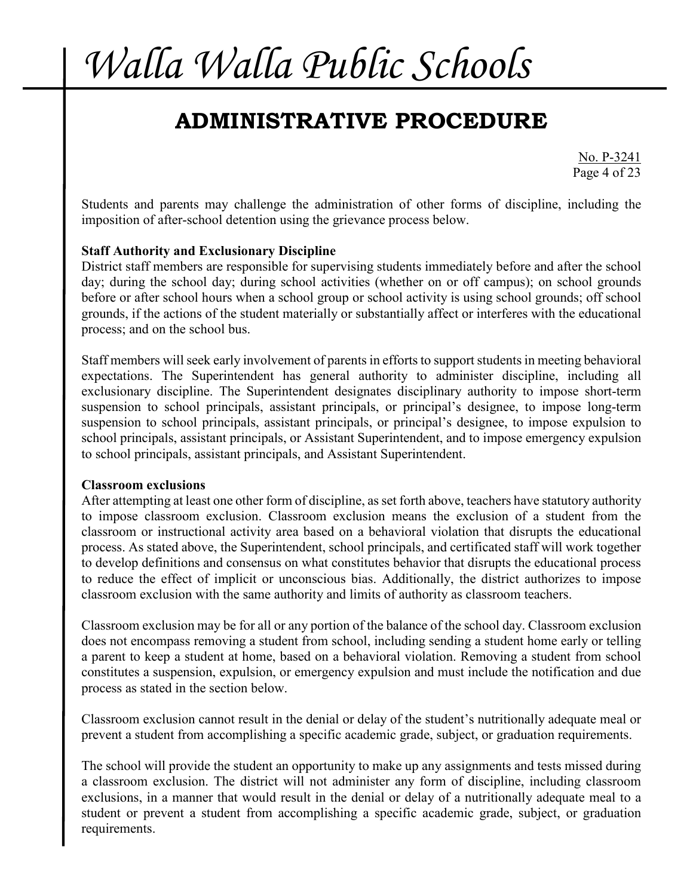## **ADMINISTRATIVE PROCEDURE**

No. P-3241 Page 4 of 23

Students and parents may challenge the administration of other forms of discipline, including the imposition of after-school detention using the grievance process below.

#### **Staff Authority and Exclusionary Discipline**

District staff members are responsible for supervising students immediately before and after the school day; during the school day; during school activities (whether on or off campus); on school grounds before or after school hours when a school group or school activity is using school grounds; off school grounds, if the actions of the student materially or substantially affect or interferes with the educational process; and on the school bus.

Staff members will seek early involvement of parents in efforts to support students in meeting behavioral expectations. The Superintendent has general authority to administer discipline, including all exclusionary discipline. The Superintendent designates disciplinary authority to impose short-term suspension to school principals, assistant principals, or principal's designee, to impose long-term suspension to school principals, assistant principals, or principal's designee, to impose expulsion to school principals, assistant principals, or Assistant Superintendent, and to impose emergency expulsion to school principals, assistant principals, and Assistant Superintendent.

#### **Classroom exclusions**

After attempting at least one other form of discipline, as set forth above, teachers have statutory authority to impose classroom exclusion. Classroom exclusion means the exclusion of a student from the classroom or instructional activity area based on a behavioral violation that disrupts the educational process. As stated above, the Superintendent, school principals, and certificated staff will work together to develop definitions and consensus on what constitutes behavior that disrupts the educational process to reduce the effect of implicit or unconscious bias. Additionally, the district authorizes to impose classroom exclusion with the same authority and limits of authority as classroom teachers.

Classroom exclusion may be for all or any portion of the balance of the school day. Classroom exclusion does not encompass removing a student from school, including sending a student home early or telling a parent to keep a student at home, based on a behavioral violation. Removing a student from school constitutes a suspension, expulsion, or emergency expulsion and must include the notification and due process as stated in the section below.

Classroom exclusion cannot result in the denial or delay of the student's nutritionally adequate meal or prevent a student from accomplishing a specific academic grade, subject, or graduation requirements.

The school will provide the student an opportunity to make up any assignments and tests missed during a classroom exclusion. The district will not administer any form of discipline, including classroom exclusions, in a manner that would result in the denial or delay of a nutritionally adequate meal to a student or prevent a student from accomplishing a specific academic grade, subject, or graduation requirements.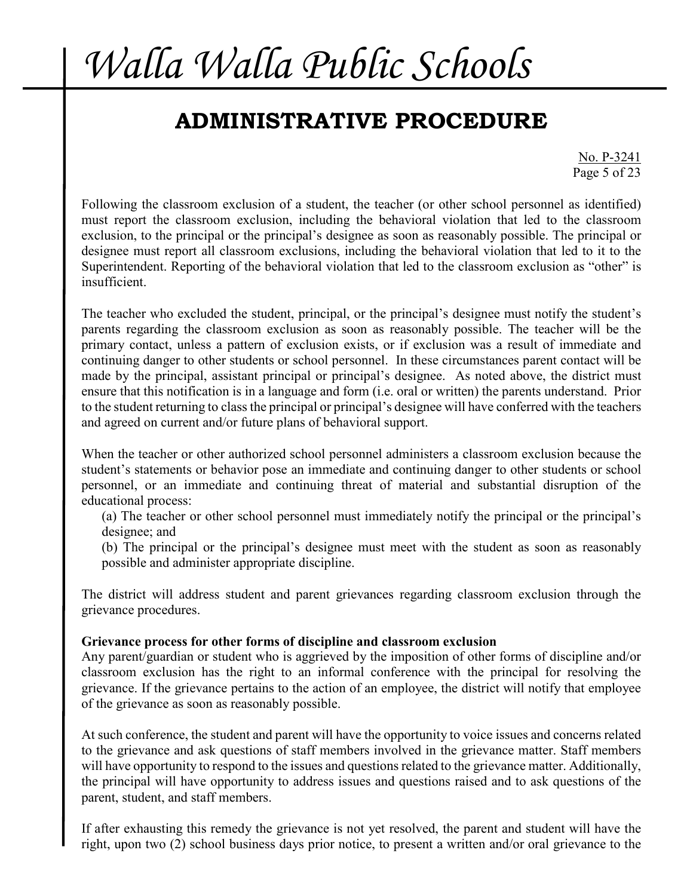### **ADMINISTRATIVE PROCEDURE**

No. P-3241 Page 5 of 23

Following the classroom exclusion of a student, the teacher (or other school personnel as identified) must report the classroom exclusion, including the behavioral violation that led to the classroom exclusion, to the principal or the principal's designee as soon as reasonably possible. The principal or designee must report all classroom exclusions, including the behavioral violation that led to it to the Superintendent. Reporting of the behavioral violation that led to the classroom exclusion as "other" is insufficient.

The teacher who excluded the student, principal, or the principal's designee must notify the student's parents regarding the classroom exclusion as soon as reasonably possible. The teacher will be the primary contact, unless a pattern of exclusion exists, or if exclusion was a result of immediate and continuing danger to other students or school personnel. In these circumstances parent contact will be made by the principal, assistant principal or principal's designee. As noted above, the district must ensure that this notification is in a language and form (i.e. oral or written) the parents understand. Prior to the student returning to class the principal or principal's designee will have conferred with the teachers and agreed on current and/or future plans of behavioral support.

When the teacher or other authorized school personnel administers a classroom exclusion because the student's statements or behavior pose an immediate and continuing danger to other students or school personnel, or an immediate and continuing threat of material and substantial disruption of the educational process:

(a) The teacher or other school personnel must immediately notify the principal or the principal's designee; and

(b) The principal or the principal's designee must meet with the student as soon as reasonably possible and administer appropriate discipline.

The district will address student and parent grievances regarding classroom exclusion through the grievance procedures.

#### **Grievance process for other forms of discipline and classroom exclusion**

Any parent/guardian or student who is aggrieved by the imposition of other forms of discipline and/or classroom exclusion has the right to an informal conference with the principal for resolving the grievance. If the grievance pertains to the action of an employee, the district will notify that employee of the grievance as soon as reasonably possible.

At such conference, the student and parent will have the opportunity to voice issues and concerns related to the grievance and ask questions of staff members involved in the grievance matter. Staff members will have opportunity to respond to the issues and questions related to the grievance matter. Additionally, the principal will have opportunity to address issues and questions raised and to ask questions of the parent, student, and staff members.

If after exhausting this remedy the grievance is not yet resolved, the parent and student will have the right, upon two (2) school business days prior notice, to present a written and/or oral grievance to the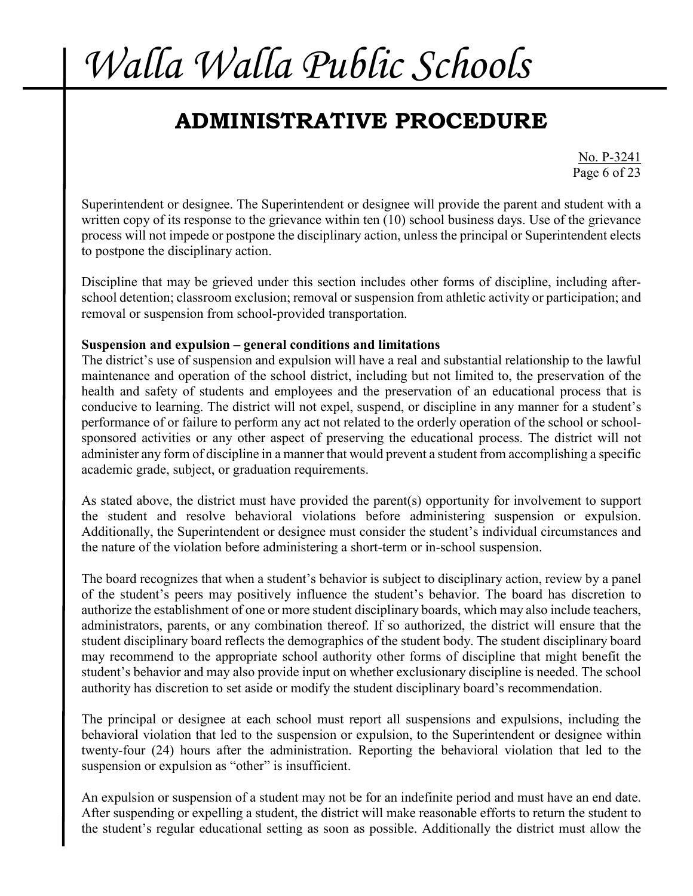## **ADMINISTRATIVE PROCEDURE**

No. P-3241 Page 6 of 23

Superintendent or designee. The Superintendent or designee will provide the parent and student with a written copy of its response to the grievance within ten (10) school business days. Use of the grievance process will not impede or postpone the disciplinary action, unless the principal or Superintendent elects to postpone the disciplinary action.

Discipline that may be grieved under this section includes other forms of discipline, including afterschool detention; classroom exclusion; removal or suspension from athletic activity or participation; and removal or suspension from school-provided transportation.

#### **Suspension and expulsion – general conditions and limitations**

The district's use of suspension and expulsion will have a real and substantial relationship to the lawful maintenance and operation of the school district, including but not limited to, the preservation of the health and safety of students and employees and the preservation of an educational process that is conducive to learning. The district will not expel, suspend, or discipline in any manner for a student's performance of or failure to perform any act not related to the orderly operation of the school or schoolsponsored activities or any other aspect of preserving the educational process. The district will not administer any form of discipline in a manner that would prevent a student from accomplishing a specific academic grade, subject, or graduation requirements.

As stated above, the district must have provided the parent(s) opportunity for involvement to support the student and resolve behavioral violations before administering suspension or expulsion. Additionally, the Superintendent or designee must consider the student's individual circumstances and the nature of the violation before administering a short-term or in-school suspension.

The board recognizes that when a student's behavior is subject to disciplinary action, review by a panel of the student's peers may positively influence the student's behavior. The board has discretion to authorize the establishment of one or more student disciplinary boards, which may also include teachers, administrators, parents, or any combination thereof. If so authorized, the district will ensure that the student disciplinary board reflects the demographics of the student body. The student disciplinary board may recommend to the appropriate school authority other forms of discipline that might benefit the student's behavior and may also provide input on whether exclusionary discipline is needed. The school authority has discretion to set aside or modify the student disciplinary board's recommendation.

The principal or designee at each school must report all suspensions and expulsions, including the behavioral violation that led to the suspension or expulsion, to the Superintendent or designee within twenty-four (24) hours after the administration. Reporting the behavioral violation that led to the suspension or expulsion as "other" is insufficient.

An expulsion or suspension of a student may not be for an indefinite period and must have an end date. After suspending or expelling a student, the district will make reasonable efforts to return the student to the student's regular educational setting as soon as possible. Additionally the district must allow the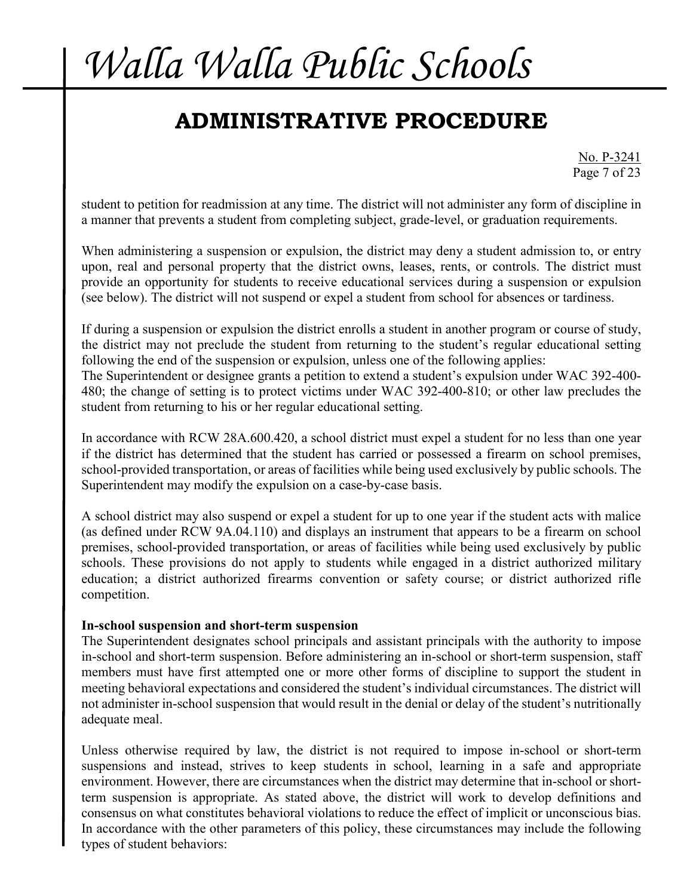## **ADMINISTRATIVE PROCEDURE**

No. P-3241 Page 7 of 23

student to petition for readmission at any time. The district will not administer any form of discipline in a manner that prevents a student from completing subject, grade-level, or graduation requirements.

When administering a suspension or expulsion, the district may deny a student admission to, or entry upon, real and personal property that the district owns, leases, rents, or controls. The district must provide an opportunity for students to receive educational services during a suspension or expulsion (see below). The district will not suspend or expel a student from school for absences or tardiness.

If during a suspension or expulsion the district enrolls a student in another program or course of study, the district may not preclude the student from returning to the student's regular educational setting following the end of the suspension or expulsion, unless one of the following applies: The Superintendent or designee grants a petition to extend a student's expulsion under WAC 392-400- 480; the change of setting is to protect victims under WAC 392-400-810; or other law precludes the student from returning to his or her regular educational setting.

In accordance with RCW 28A.600.420, a school district must expel a student for no less than one year if the district has determined that the student has carried or possessed a firearm on school premises, school-provided transportation, or areas of facilities while being used exclusively by public schools. The Superintendent may modify the expulsion on a case-by-case basis.

A school district may also suspend or expel a student for up to one year if the student acts with malice (as defined under RCW 9A.04.110) and displays an instrument that appears to be a firearm on school premises, school-provided transportation, or areas of facilities while being used exclusively by public schools. These provisions do not apply to students while engaged in a district authorized military education; a district authorized firearms convention or safety course; or district authorized rifle competition.

#### **In-school suspension and short-term suspension**

The Superintendent designates school principals and assistant principals with the authority to impose in-school and short-term suspension. Before administering an in-school or short-term suspension, staff members must have first attempted one or more other forms of discipline to support the student in meeting behavioral expectations and considered the student's individual circumstances. The district will not administer in-school suspension that would result in the denial or delay of the student's nutritionally adequate meal.

Unless otherwise required by law, the district is not required to impose in-school or short-term suspensions and instead, strives to keep students in school, learning in a safe and appropriate environment. However, there are circumstances when the district may determine that in-school or shortterm suspension is appropriate. As stated above, the district will work to develop definitions and consensus on what constitutes behavioral violations to reduce the effect of implicit or unconscious bias. In accordance with the other parameters of this policy, these circumstances may include the following types of student behaviors: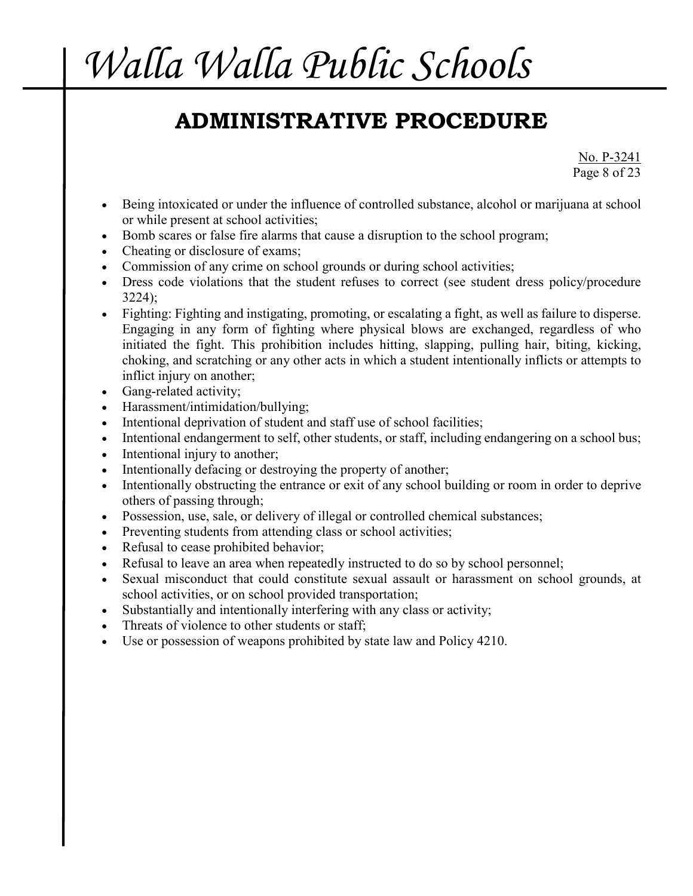## **ADMINISTRATIVE PROCEDURE**

No. P-3241 Page 8 of 23

- Being intoxicated or under the influence of controlled substance, alcohol or marijuana at school or while present at school activities;
- Bomb scares or false fire alarms that cause a disruption to the school program;
- Cheating or disclosure of exams;
- Commission of any crime on school grounds or during school activities;
- Dress code violations that the student refuses to correct (see student dress policy/procedure 3224);
- Fighting: Fighting and instigating, promoting, or escalating a fight, as well as failure to disperse. Engaging in any form of fighting where physical blows are exchanged, regardless of who initiated the fight. This prohibition includes hitting, slapping, pulling hair, biting, kicking, choking, and scratching or any other acts in which a student intentionally inflicts or attempts to inflict injury on another;
- Gang-related activity;
- Harassment/intimidation/bullying;
- Intentional deprivation of student and staff use of school facilities;
- Intentional endangerment to self, other students, or staff, including endangering on a school bus;
- Intentional injury to another;
- Intentionally defacing or destroying the property of another;
- Intentionally obstructing the entrance or exit of any school building or room in order to deprive others of passing through;
- Possession, use, sale, or delivery of illegal or controlled chemical substances;
- Preventing students from attending class or school activities;
- Refusal to cease prohibited behavior;
- Refusal to leave an area when repeatedly instructed to do so by school personnel;
- Sexual misconduct that could constitute sexual assault or harassment on school grounds, at school activities, or on school provided transportation;
- Substantially and intentionally interfering with any class or activity;
- Threats of violence to other students or staff;
- Use or possession of weapons prohibited by state law and Policy 4210.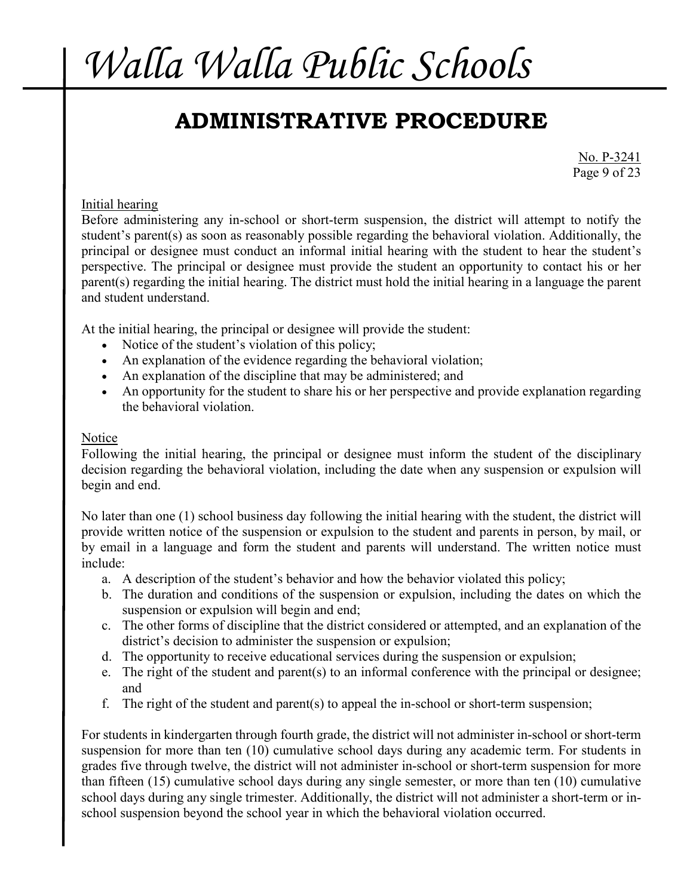## **ADMINISTRATIVE PROCEDURE**

No. P-3241 Page 9 of 23

### Initial hearing

Before administering any in-school or short-term suspension, the district will attempt to notify the student's parent(s) as soon as reasonably possible regarding the behavioral violation. Additionally, the principal or designee must conduct an informal initial hearing with the student to hear the student's perspective. The principal or designee must provide the student an opportunity to contact his or her parent(s) regarding the initial hearing. The district must hold the initial hearing in a language the parent and student understand.

At the initial hearing, the principal or designee will provide the student:

- Notice of the student's violation of this policy;
- An explanation of the evidence regarding the behavioral violation;
- An explanation of the discipline that may be administered; and
- An opportunity for the student to share his or her perspective and provide explanation regarding the behavioral violation.

#### Notice

Following the initial hearing, the principal or designee must inform the student of the disciplinary decision regarding the behavioral violation, including the date when any suspension or expulsion will begin and end.

No later than one (1) school business day following the initial hearing with the student, the district will provide written notice of the suspension or expulsion to the student and parents in person, by mail, or by email in a language and form the student and parents will understand. The written notice must include:

- a. A description of the student's behavior and how the behavior violated this policy;
- b. The duration and conditions of the suspension or expulsion, including the dates on which the suspension or expulsion will begin and end;
- c. The other forms of discipline that the district considered or attempted, and an explanation of the district's decision to administer the suspension or expulsion;
- d. The opportunity to receive educational services during the suspension or expulsion;
- e. The right of the student and parent(s) to an informal conference with the principal or designee; and
- f. The right of the student and parent(s) to appeal the in-school or short-term suspension;

For students in kindergarten through fourth grade, the district will not administer in-school or short-term suspension for more than ten (10) cumulative school days during any academic term. For students in grades five through twelve, the district will not administer in-school or short-term suspension for more than fifteen (15) cumulative school days during any single semester, or more than ten (10) cumulative school days during any single trimester. Additionally, the district will not administer a short-term or inschool suspension beyond the school year in which the behavioral violation occurred.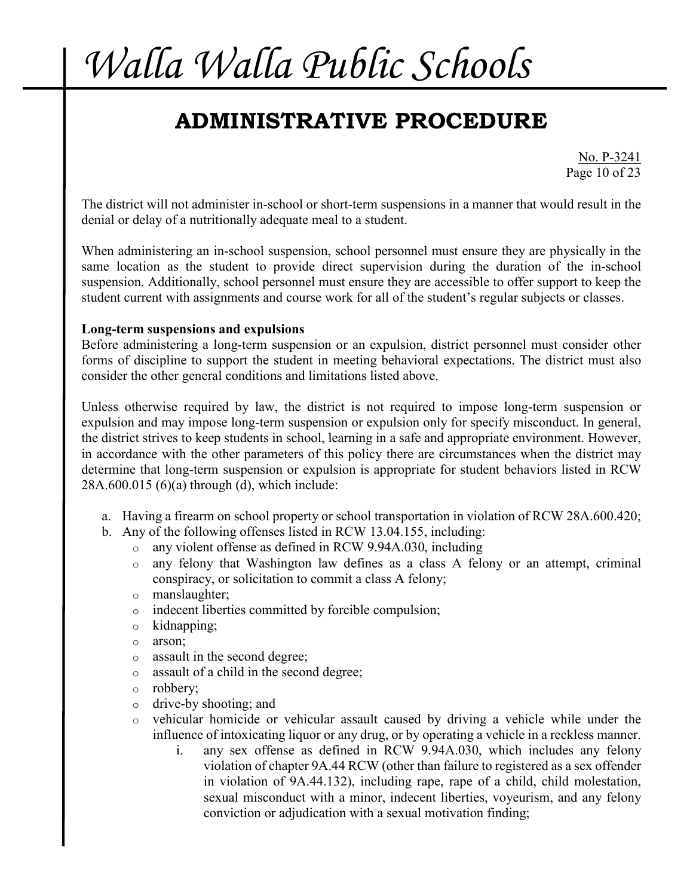## **ADMINISTRATIVE PROCEDURE**

No. P-3241 Page 10 of 23

The district will not administer in-school or short-term suspensions in a manner that would result in the denial or delay of a nutritionally adequate meal to a student.

When administering an in-school suspension, school personnel must ensure they are physically in the same location as the student to provide direct supervision during the duration of the in-school suspension. Additionally, school personnel must ensure they are accessible to offer support to keep the student current with assignments and course work for all of the student's regular subjects or classes.

#### **Long-term suspensions and expulsions**

Before administering a long-term suspension or an expulsion, district personnel must consider other forms of discipline to support the student in meeting behavioral expectations. The district must also consider the other general conditions and limitations listed above.

Unless otherwise required by law, the district is not required to impose long-term suspension or expulsion and may impose long-term suspension or expulsion only for specify misconduct. In general, the district strives to keep students in school, learning in a safe and appropriate environment. However, in accordance with the other parameters of this policy there are circumstances when the district may determine that long-term suspension or expulsion is appropriate for student behaviors listed in RCW 28A.600.015 (6)(a) through (d), which include:

- a. Having a firearm on school property or school transportation in violation of RCW 28A.600.420;
- b. Any of the following offenses listed in RCW 13.04.155, including:
	- o any violent offense as defined in RCW 9.94A.030, including
	- o any felony that Washington law defines as a class A felony or an attempt, criminal conspiracy, or solicitation to commit a class A felony;
	- o manslaughter;
	- o indecent liberties committed by forcible compulsion;
	- o kidnapping;
	- o arson;
	- o assault in the second degree;
	- o assault of a child in the second degree;
	- o robbery;
	- o drive-by shooting; and
	- o vehicular homicide or vehicular assault caused by driving a vehicle while under the influence of intoxicating liquor or any drug, or by operating a vehicle in a reckless manner.
		- i. any sex offense as defined in RCW 9.94A.030, which includes any felony violation of chapter 9A.44 RCW (other than failure to registered as a sex offender in violation of 9A.44.132), including rape, rape of a child, child molestation, sexual misconduct with a minor, indecent liberties, voyeurism, and any felony conviction or adjudication with a sexual motivation finding;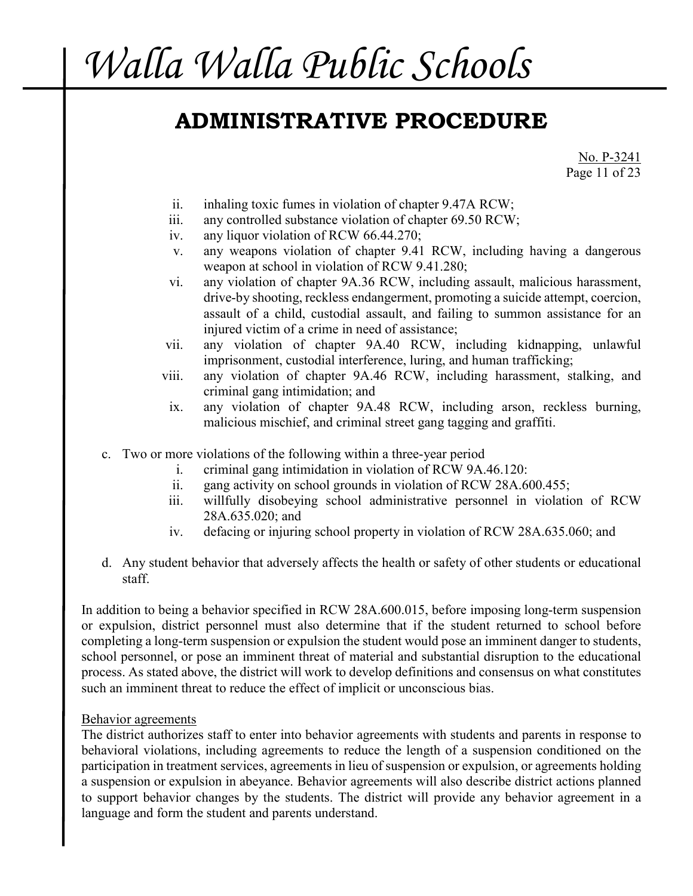### **ADMINISTRATIVE PROCEDURE**

No. P-3241 Page 11 of 23

- ii. inhaling toxic fumes in violation of chapter 9.47A RCW;
- iii. any controlled substance violation of chapter 69.50 RCW;
- iv. any liquor violation of RCW 66.44.270;
- v. any weapons violation of chapter 9.41 RCW, including having a dangerous weapon at school in violation of RCW 9.41.280;
- vi. any violation of chapter 9A.36 RCW, including assault, malicious harassment, drive-by shooting, reckless endangerment, promoting a suicide attempt, coercion, assault of a child, custodial assault, and failing to summon assistance for an injured victim of a crime in need of assistance;
- vii. any violation of chapter 9A.40 RCW, including kidnapping, unlawful imprisonment, custodial interference, luring, and human trafficking;
- viii. any violation of chapter 9A.46 RCW, including harassment, stalking, and criminal gang intimidation; and
- ix. any violation of chapter 9A.48 RCW, including arson, reckless burning, malicious mischief, and criminal street gang tagging and graffiti.
- c. Two or more violations of the following within a three-year period
	- i. criminal gang intimidation in violation of RCW 9A.46.120:
	- ii. gang activity on school grounds in violation of RCW 28A.600.455;
	- iii. willfully disobeying school administrative personnel in violation of RCW 28A.635.020; and
	- iv. defacing or injuring school property in violation of RCW 28A.635.060; and
- d. Any student behavior that adversely affects the health or safety of other students or educational staff.

In addition to being a behavior specified in RCW 28A.600.015, before imposing long-term suspension or expulsion, district personnel must also determine that if the student returned to school before completing a long-term suspension or expulsion the student would pose an imminent danger to students, school personnel, or pose an imminent threat of material and substantial disruption to the educational process. As stated above, the district will work to develop definitions and consensus on what constitutes such an imminent threat to reduce the effect of implicit or unconscious bias.

#### Behavior agreements

The district authorizes staff to enter into behavior agreements with students and parents in response to behavioral violations, including agreements to reduce the length of a suspension conditioned on the participation in treatment services, agreements in lieu of suspension or expulsion, or agreements holding a suspension or expulsion in abeyance. Behavior agreements will also describe district actions planned to support behavior changes by the students. The district will provide any behavior agreement in a language and form the student and parents understand.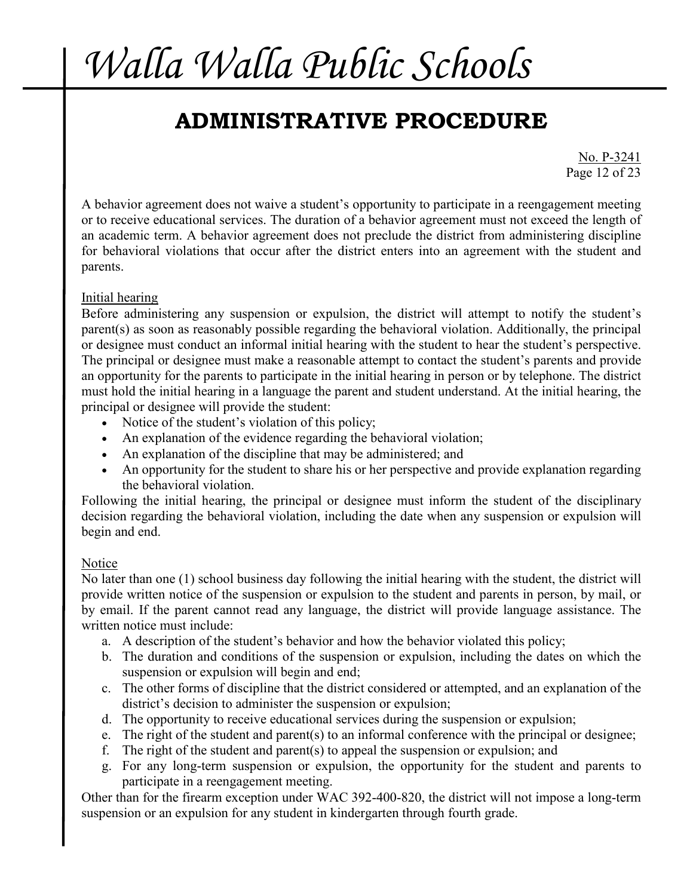## **ADMINISTRATIVE PROCEDURE**

No. P-3241 Page 12 of 23

A behavior agreement does not waive a student's opportunity to participate in a reengagement meeting or to receive educational services. The duration of a behavior agreement must not exceed the length of an academic term. A behavior agreement does not preclude the district from administering discipline for behavioral violations that occur after the district enters into an agreement with the student and parents.

### Initial hearing

Before administering any suspension or expulsion, the district will attempt to notify the student's parent(s) as soon as reasonably possible regarding the behavioral violation. Additionally, the principal or designee must conduct an informal initial hearing with the student to hear the student's perspective. The principal or designee must make a reasonable attempt to contact the student's parents and provide an opportunity for the parents to participate in the initial hearing in person or by telephone. The district must hold the initial hearing in a language the parent and student understand. At the initial hearing, the principal or designee will provide the student:

- Notice of the student's violation of this policy;
- An explanation of the evidence regarding the behavioral violation;
- An explanation of the discipline that may be administered; and
- An opportunity for the student to share his or her perspective and provide explanation regarding the behavioral violation.

Following the initial hearing, the principal or designee must inform the student of the disciplinary decision regarding the behavioral violation, including the date when any suspension or expulsion will begin and end.

#### Notice

No later than one (1) school business day following the initial hearing with the student, the district will provide written notice of the suspension or expulsion to the student and parents in person, by mail, or by email. If the parent cannot read any language, the district will provide language assistance. The written notice must include:

- a. A description of the student's behavior and how the behavior violated this policy;
- b. The duration and conditions of the suspension or expulsion, including the dates on which the suspension or expulsion will begin and end;
- c. The other forms of discipline that the district considered or attempted, and an explanation of the district's decision to administer the suspension or expulsion;
- d. The opportunity to receive educational services during the suspension or expulsion;
- e. The right of the student and parent(s) to an informal conference with the principal or designee;
- f. The right of the student and parent(s) to appeal the suspension or expulsion; and
- g. For any long-term suspension or expulsion, the opportunity for the student and parents to participate in a reengagement meeting.

Other than for the firearm exception under WAC 392-400-820, the district will not impose a long-term suspension or an expulsion for any student in kindergarten through fourth grade.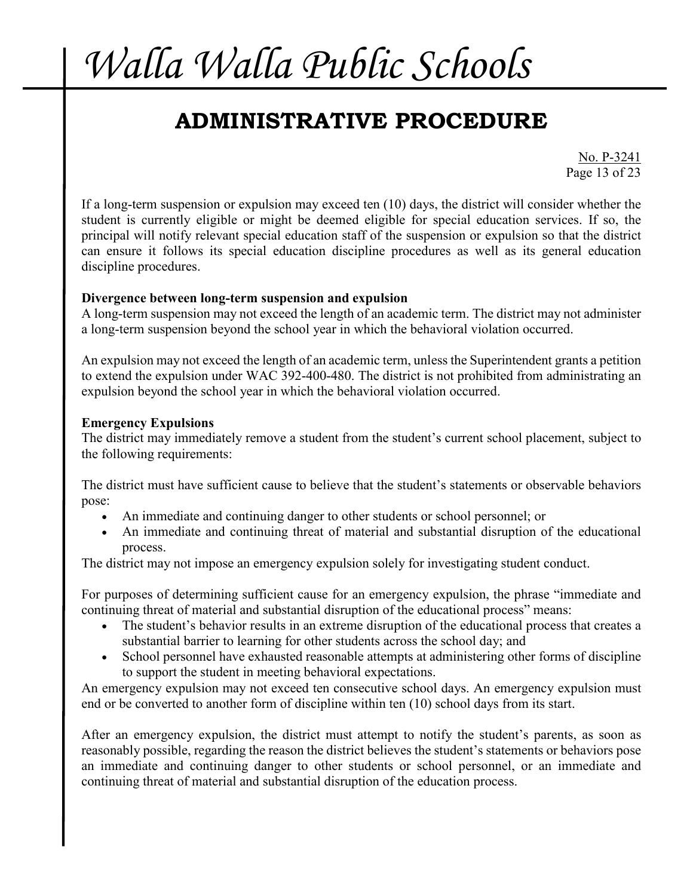## **ADMINISTRATIVE PROCEDURE**

No. P-3241 Page 13 of 23

If a long-term suspension or expulsion may exceed ten (10) days, the district will consider whether the student is currently eligible or might be deemed eligible for special education services. If so, the principal will notify relevant special education staff of the suspension or expulsion so that the district can ensure it follows its special education discipline procedures as well as its general education discipline procedures.

#### **Divergence between long-term suspension and expulsion**

A long-term suspension may not exceed the length of an academic term. The district may not administer a long-term suspension beyond the school year in which the behavioral violation occurred.

An expulsion may not exceed the length of an academic term, unless the Superintendent grants a petition to extend the expulsion under WAC 392-400-480. The district is not prohibited from administrating an expulsion beyond the school year in which the behavioral violation occurred.

#### **Emergency Expulsions**

The district may immediately remove a student from the student's current school placement, subject to the following requirements:

The district must have sufficient cause to believe that the student's statements or observable behaviors pose:

- An immediate and continuing danger to other students or school personnel; or
- An immediate and continuing threat of material and substantial disruption of the educational process.

The district may not impose an emergency expulsion solely for investigating student conduct.

For purposes of determining sufficient cause for an emergency expulsion, the phrase "immediate and continuing threat of material and substantial disruption of the educational process" means:

- The student's behavior results in an extreme disruption of the educational process that creates a substantial barrier to learning for other students across the school day; and
- School personnel have exhausted reasonable attempts at administering other forms of discipline to support the student in meeting behavioral expectations.

An emergency expulsion may not exceed ten consecutive school days. An emergency expulsion must end or be converted to another form of discipline within ten (10) school days from its start.

After an emergency expulsion, the district must attempt to notify the student's parents, as soon as reasonably possible, regarding the reason the district believes the student's statements or behaviors pose an immediate and continuing danger to other students or school personnel, or an immediate and continuing threat of material and substantial disruption of the education process.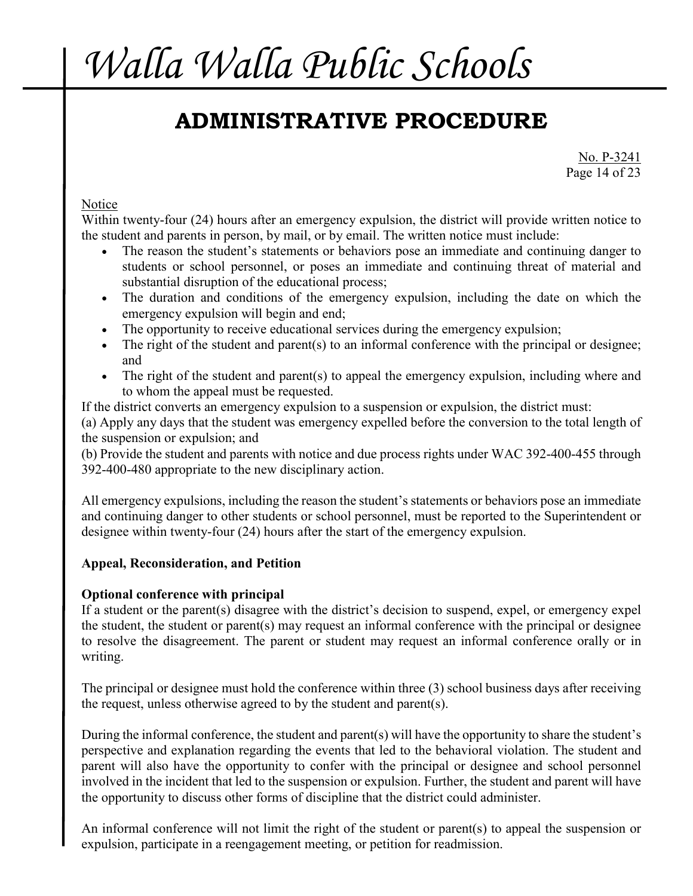## **ADMINISTRATIVE PROCEDURE**

No. P-3241 Page 14 of 23

### **Notice**

Within twenty-four (24) hours after an emergency expulsion, the district will provide written notice to the student and parents in person, by mail, or by email. The written notice must include:

- The reason the student's statements or behaviors pose an immediate and continuing danger to students or school personnel, or poses an immediate and continuing threat of material and substantial disruption of the educational process;
- The duration and conditions of the emergency expulsion, including the date on which the emergency expulsion will begin and end;
- The opportunity to receive educational services during the emergency expulsion;
- The right of the student and parent(s) to an informal conference with the principal or designee; and
- The right of the student and parent(s) to appeal the emergency expulsion, including where and to whom the appeal must be requested.

If the district converts an emergency expulsion to a suspension or expulsion, the district must:

(a) Apply any days that the student was emergency expelled before the conversion to the total length of the suspension or expulsion; and

(b) Provide the student and parents with notice and due process rights under WAC 392-400-455 through 392-400-480 appropriate to the new disciplinary action.

All emergency expulsions, including the reason the student's statements or behaviors pose an immediate and continuing danger to other students or school personnel, must be reported to the Superintendent or designee within twenty-four (24) hours after the start of the emergency expulsion.

### **Appeal, Reconsideration, and Petition**

### **Optional conference with principal**

If a student or the parent(s) disagree with the district's decision to suspend, expel, or emergency expel the student, the student or parent(s) may request an informal conference with the principal or designee to resolve the disagreement. The parent or student may request an informal conference orally or in writing.

The principal or designee must hold the conference within three (3) school business days after receiving the request, unless otherwise agreed to by the student and parent(s).

During the informal conference, the student and parent(s) will have the opportunity to share the student's perspective and explanation regarding the events that led to the behavioral violation. The student and parent will also have the opportunity to confer with the principal or designee and school personnel involved in the incident that led to the suspension or expulsion. Further, the student and parent will have the opportunity to discuss other forms of discipline that the district could administer.

An informal conference will not limit the right of the student or parent(s) to appeal the suspension or expulsion, participate in a reengagement meeting, or petition for readmission.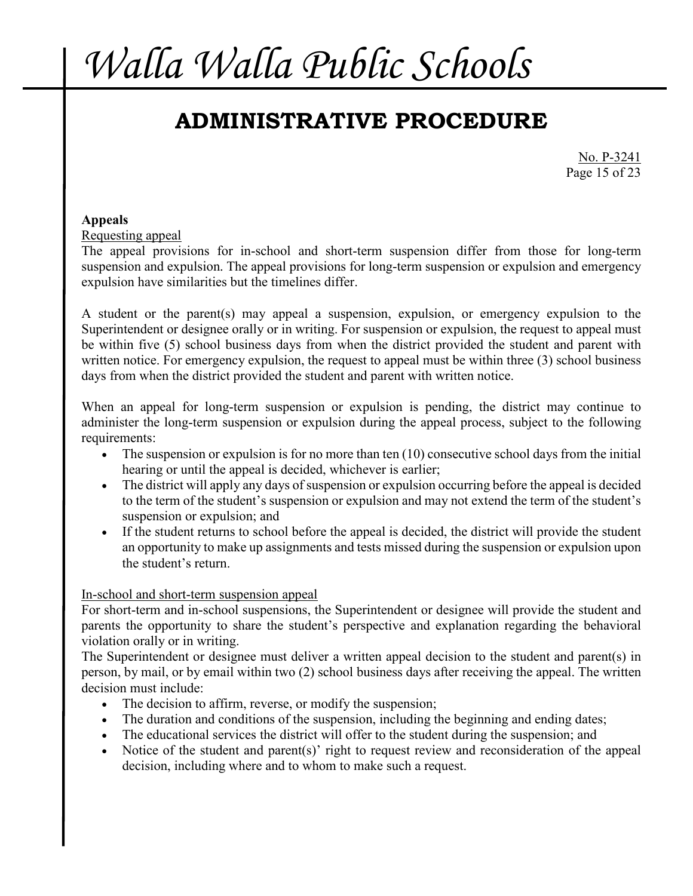## **ADMINISTRATIVE PROCEDURE**

No. P-3241 Page 15 of 23

### **Appeals**

Requesting appeal

The appeal provisions for in-school and short-term suspension differ from those for long-term suspension and expulsion. The appeal provisions for long-term suspension or expulsion and emergency expulsion have similarities but the timelines differ.

A student or the parent(s) may appeal a suspension, expulsion, or emergency expulsion to the Superintendent or designee orally or in writing. For suspension or expulsion, the request to appeal must be within five (5) school business days from when the district provided the student and parent with written notice. For emergency expulsion, the request to appeal must be within three (3) school business days from when the district provided the student and parent with written notice.

When an appeal for long-term suspension or expulsion is pending, the district may continue to administer the long-term suspension or expulsion during the appeal process, subject to the following requirements:

- The suspension or expulsion is for no more than ten (10) consecutive school days from the initial hearing or until the appeal is decided, whichever is earlier;
- The district will apply any days of suspension or expulsion occurring before the appeal is decided to the term of the student's suspension or expulsion and may not extend the term of the student's suspension or expulsion; and
- If the student returns to school before the appeal is decided, the district will provide the student an opportunity to make up assignments and tests missed during the suspension or expulsion upon the student's return.

### In-school and short-term suspension appeal

For short-term and in-school suspensions, the Superintendent or designee will provide the student and parents the opportunity to share the student's perspective and explanation regarding the behavioral violation orally or in writing.

The Superintendent or designee must deliver a written appeal decision to the student and parent(s) in person, by mail, or by email within two (2) school business days after receiving the appeal. The written decision must include:

- The decision to affirm, reverse, or modify the suspension;
- The duration and conditions of the suspension, including the beginning and ending dates;
- The educational services the district will offer to the student during the suspension; and
- Notice of the student and parent(s)' right to request review and reconsideration of the appeal decision, including where and to whom to make such a request.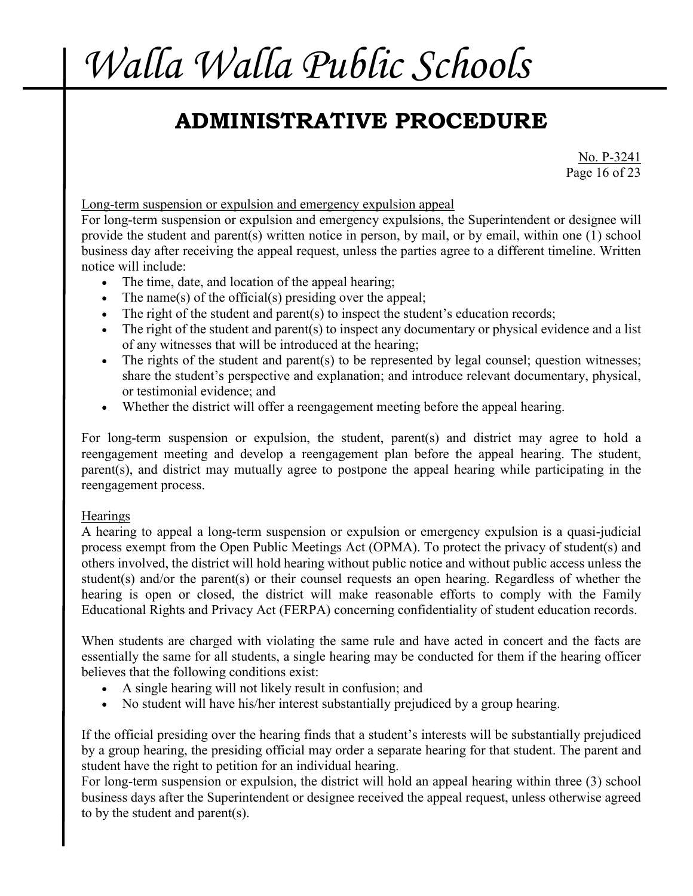## **ADMINISTRATIVE PROCEDURE**

No. P-3241 Page 16 of 23

Long-term suspension or expulsion and emergency expulsion appeal

For long-term suspension or expulsion and emergency expulsions, the Superintendent or designee will provide the student and parent(s) written notice in person, by mail, or by email, within one (1) school business day after receiving the appeal request, unless the parties agree to a different timeline. Written notice will include:

- The time, date, and location of the appeal hearing;
- The name(s) of the official(s) presiding over the appeal;
- The right of the student and parent(s) to inspect the student's education records;
- The right of the student and parent(s) to inspect any documentary or physical evidence and a list of any witnesses that will be introduced at the hearing;
- The rights of the student and parent(s) to be represented by legal counsel; question witnesses; share the student's perspective and explanation; and introduce relevant documentary, physical, or testimonial evidence; and
- Whether the district will offer a reengagement meeting before the appeal hearing.

For long-term suspension or expulsion, the student, parent(s) and district may agree to hold a reengagement meeting and develop a reengagement plan before the appeal hearing. The student, parent(s), and district may mutually agree to postpone the appeal hearing while participating in the reengagement process.

#### **Hearings**

A hearing to appeal a long-term suspension or expulsion or emergency expulsion is a quasi-judicial process exempt from the Open Public Meetings Act (OPMA). To protect the privacy of student(s) and others involved, the district will hold hearing without public notice and without public access unless the student(s) and/or the parent(s) or their counsel requests an open hearing. Regardless of whether the hearing is open or closed, the district will make reasonable efforts to comply with the Family Educational Rights and Privacy Act (FERPA) concerning confidentiality of student education records.

When students are charged with violating the same rule and have acted in concert and the facts are essentially the same for all students, a single hearing may be conducted for them if the hearing officer believes that the following conditions exist:

- A single hearing will not likely result in confusion; and
- No student will have his/her interest substantially prejudiced by a group hearing.

If the official presiding over the hearing finds that a student's interests will be substantially prejudiced by a group hearing, the presiding official may order a separate hearing for that student. The parent and student have the right to petition for an individual hearing.

For long-term suspension or expulsion, the district will hold an appeal hearing within three (3) school business days after the Superintendent or designee received the appeal request, unless otherwise agreed to by the student and parent(s).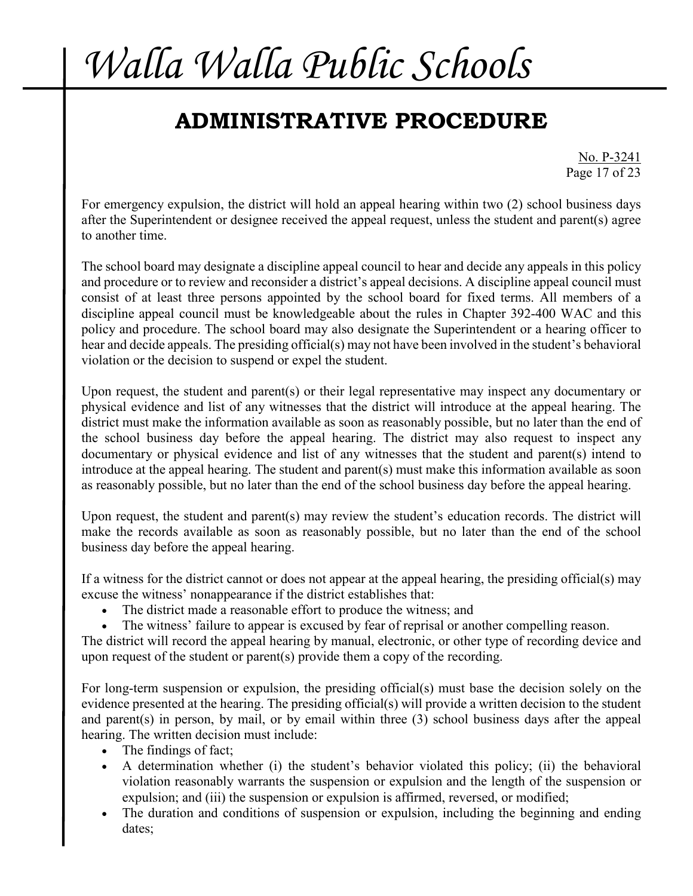## **ADMINISTRATIVE PROCEDURE**

No. P-3241 Page 17 of 23

For emergency expulsion, the district will hold an appeal hearing within two (2) school business days after the Superintendent or designee received the appeal request, unless the student and parent(s) agree to another time.

The school board may designate a discipline appeal council to hear and decide any appeals in this policy and procedure or to review and reconsider a district's appeal decisions. A discipline appeal council must consist of at least three persons appointed by the school board for fixed terms. All members of a discipline appeal council must be knowledgeable about the rules in Chapter 392-400 WAC and this policy and procedure. The school board may also designate the Superintendent or a hearing officer to hear and decide appeals. The presiding official(s) may not have been involved in the student's behavioral violation or the decision to suspend or expel the student.

Upon request, the student and parent(s) or their legal representative may inspect any documentary or physical evidence and list of any witnesses that the district will introduce at the appeal hearing. The district must make the information available as soon as reasonably possible, but no later than the end of the school business day before the appeal hearing. The district may also request to inspect any documentary or physical evidence and list of any witnesses that the student and parent(s) intend to introduce at the appeal hearing. The student and parent(s) must make this information available as soon as reasonably possible, but no later than the end of the school business day before the appeal hearing.

Upon request, the student and parent(s) may review the student's education records. The district will make the records available as soon as reasonably possible, but no later than the end of the school business day before the appeal hearing.

If a witness for the district cannot or does not appear at the appeal hearing, the presiding official(s) may excuse the witness' nonappearance if the district establishes that:

- The district made a reasonable effort to produce the witness; and
- The witness' failure to appear is excused by fear of reprisal or another compelling reason.

The district will record the appeal hearing by manual, electronic, or other type of recording device and upon request of the student or parent(s) provide them a copy of the recording.

For long-term suspension or expulsion, the presiding official(s) must base the decision solely on the evidence presented at the hearing. The presiding official(s) will provide a written decision to the student and parent(s) in person, by mail, or by email within three (3) school business days after the appeal hearing. The written decision must include:

- The findings of fact;
- A determination whether (i) the student's behavior violated this policy; (ii) the behavioral violation reasonably warrants the suspension or expulsion and the length of the suspension or expulsion; and (iii) the suspension or expulsion is affirmed, reversed, or modified;
- The duration and conditions of suspension or expulsion, including the beginning and ending dates;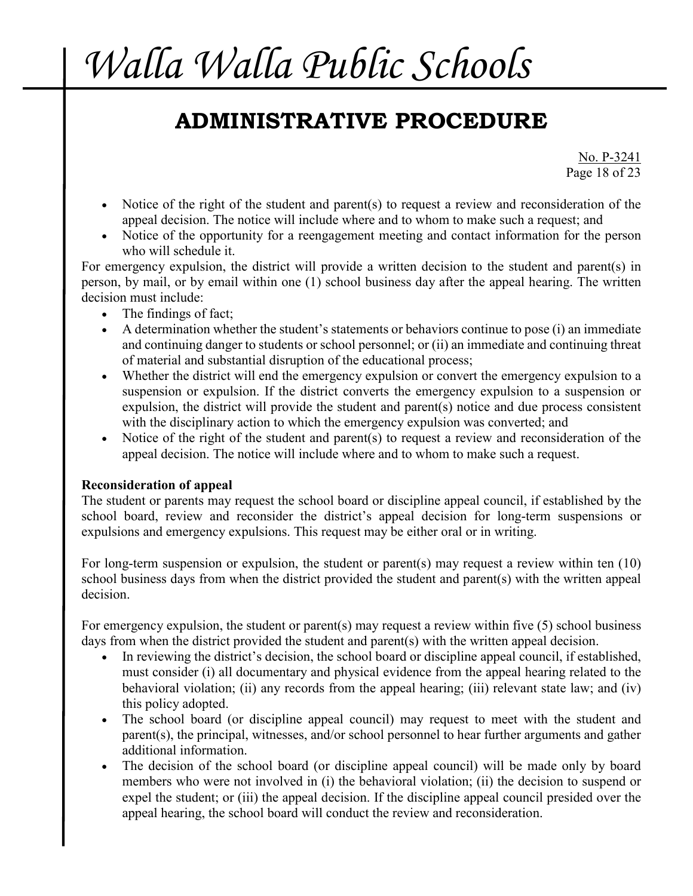## **ADMINISTRATIVE PROCEDURE**

No. P-3241 Page 18 of 23

- Notice of the right of the student and parent(s) to request a review and reconsideration of the appeal decision. The notice will include where and to whom to make such a request; and
- Notice of the opportunity for a reengagement meeting and contact information for the person who will schedule it.

For emergency expulsion, the district will provide a written decision to the student and parent(s) in person, by mail, or by email within one (1) school business day after the appeal hearing. The written decision must include:

- The findings of fact;
- A determination whether the student's statements or behaviors continue to pose (i) an immediate and continuing danger to students or school personnel; or (ii) an immediate and continuing threat of material and substantial disruption of the educational process;
- Whether the district will end the emergency expulsion or convert the emergency expulsion to a suspension or expulsion. If the district converts the emergency expulsion to a suspension or expulsion, the district will provide the student and parent(s) notice and due process consistent with the disciplinary action to which the emergency expulsion was converted; and
- Notice of the right of the student and parent(s) to request a review and reconsideration of the appeal decision. The notice will include where and to whom to make such a request.

### **Reconsideration of appeal**

The student or parents may request the school board or discipline appeal council, if established by the school board, review and reconsider the district's appeal decision for long-term suspensions or expulsions and emergency expulsions. This request may be either oral or in writing.

For long-term suspension or expulsion, the student or parent(s) may request a review within ten (10) school business days from when the district provided the student and parent(s) with the written appeal decision.

For emergency expulsion, the student or parent(s) may request a review within five (5) school business days from when the district provided the student and parent(s) with the written appeal decision.

- In reviewing the district's decision, the school board or discipline appeal council, if established, must consider (i) all documentary and physical evidence from the appeal hearing related to the behavioral violation; (ii) any records from the appeal hearing; (iii) relevant state law; and (iv) this policy adopted.
- The school board (or discipline appeal council) may request to meet with the student and parent(s), the principal, witnesses, and/or school personnel to hear further arguments and gather additional information.
- The decision of the school board (or discipline appeal council) will be made only by board members who were not involved in (i) the behavioral violation; (ii) the decision to suspend or expel the student; or (iii) the appeal decision. If the discipline appeal council presided over the appeal hearing, the school board will conduct the review and reconsideration.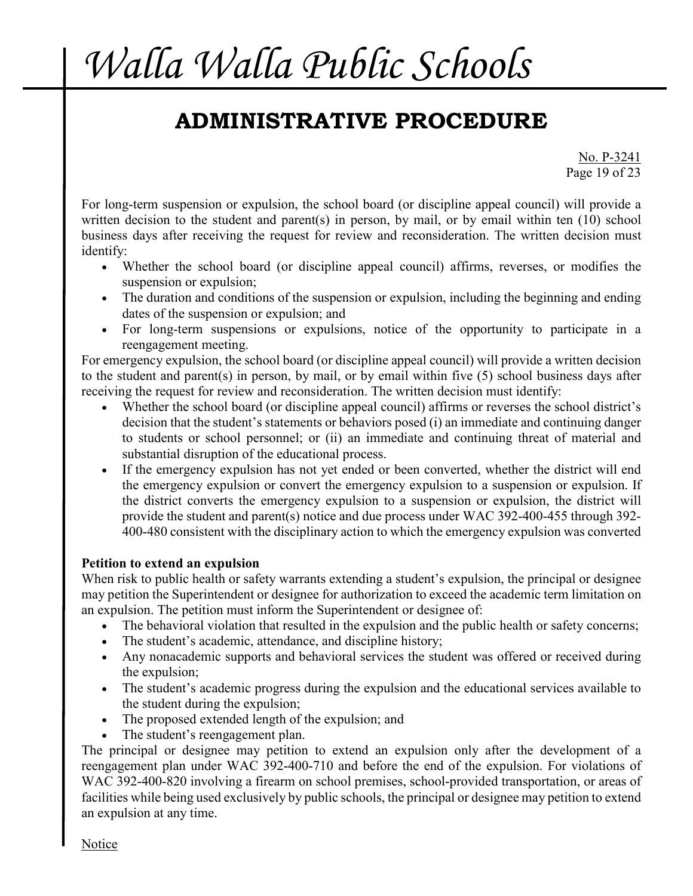## **ADMINISTRATIVE PROCEDURE**

No. P-3241 Page 19 of 23

For long-term suspension or expulsion, the school board (or discipline appeal council) will provide a written decision to the student and parent(s) in person, by mail, or by email within ten (10) school business days after receiving the request for review and reconsideration. The written decision must identify:

- Whether the school board (or discipline appeal council) affirms, reverses, or modifies the suspension or expulsion;
- The duration and conditions of the suspension or expulsion, including the beginning and ending dates of the suspension or expulsion; and
- For long-term suspensions or expulsions, notice of the opportunity to participate in a reengagement meeting.

For emergency expulsion, the school board (or discipline appeal council) will provide a written decision to the student and parent(s) in person, by mail, or by email within five (5) school business days after receiving the request for review and reconsideration. The written decision must identify:

- Whether the school board (or discipline appeal council) affirms or reverses the school district's decision that the student's statements or behaviors posed (i) an immediate and continuing danger to students or school personnel; or (ii) an immediate and continuing threat of material and substantial disruption of the educational process.
- If the emergency expulsion has not yet ended or been converted, whether the district will end the emergency expulsion or convert the emergency expulsion to a suspension or expulsion. If the district converts the emergency expulsion to a suspension or expulsion, the district will provide the student and parent(s) notice and due process under WAC 392-400-455 through 392- 400-480 consistent with the disciplinary action to which the emergency expulsion was converted

### **Petition to extend an expulsion**

When risk to public health or safety warrants extending a student's expulsion, the principal or designee may petition the Superintendent or designee for authorization to exceed the academic term limitation on an expulsion. The petition must inform the Superintendent or designee of:

- The behavioral violation that resulted in the expulsion and the public health or safety concerns;
- The student's academic, attendance, and discipline history;
- Any nonacademic supports and behavioral services the student was offered or received during the expulsion;
- The student's academic progress during the expulsion and the educational services available to the student during the expulsion;
- The proposed extended length of the expulsion; and
- The student's reengagement plan.

The principal or designee may petition to extend an expulsion only after the development of a reengagement plan under WAC 392-400-710 and before the end of the expulsion. For violations of WAC 392-400-820 involving a firearm on school premises, school-provided transportation, or areas of facilities while being used exclusively by public schools, the principal or designee may petition to extend an expulsion at any time.

Notice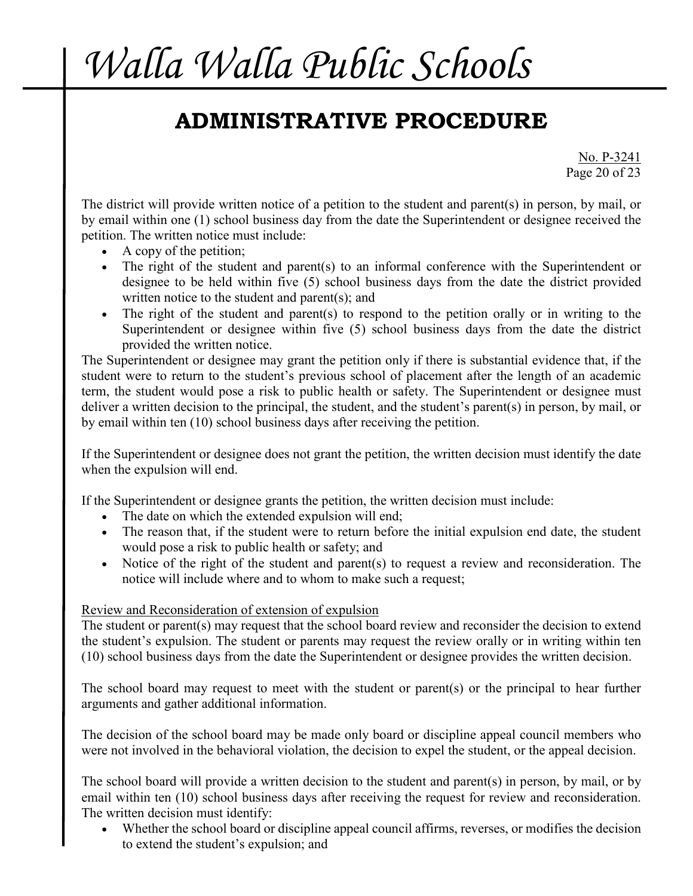## **ADMINISTRATIVE PROCEDURE**

No. P-3241 Page 20 of 23

The district will provide written notice of a petition to the student and parent(s) in person, by mail, or by email within one (1) school business day from the date the Superintendent or designee received the petition. The written notice must include:

- A copy of the petition;
- The right of the student and parent(s) to an informal conference with the Superintendent or designee to be held within five (5) school business days from the date the district provided written notice to the student and parent(s); and
- The right of the student and parent(s) to respond to the petition orally or in writing to the Superintendent or designee within five (5) school business days from the date the district provided the written notice.

The Superintendent or designee may grant the petition only if there is substantial evidence that, if the student were to return to the student's previous school of placement after the length of an academic term, the student would pose a risk to public health or safety. The Superintendent or designee must deliver a written decision to the principal, the student, and the student's parent(s) in person, by mail, or by email within ten (10) school business days after receiving the petition.

If the Superintendent or designee does not grant the petition, the written decision must identify the date when the expulsion will end.

If the Superintendent or designee grants the petition, the written decision must include:

- The date on which the extended expulsion will end;
- The reason that, if the student were to return before the initial expulsion end date, the student would pose a risk to public health or safety; and
- Notice of the right of the student and parent(s) to request a review and reconsideration. The notice will include where and to whom to make such a request;

### Review and Reconsideration of extension of expulsion

The student or parent(s) may request that the school board review and reconsider the decision to extend the student's expulsion. The student or parents may request the review orally or in writing within ten (10) school business days from the date the Superintendent or designee provides the written decision.

The school board may request to meet with the student or parent(s) or the principal to hear further arguments and gather additional information.

The decision of the school board may be made only board or discipline appeal council members who were not involved in the behavioral violation, the decision to expel the student, or the appeal decision.

The school board will provide a written decision to the student and parent(s) in person, by mail, or by email within ten (10) school business days after receiving the request for review and reconsideration. The written decision must identify:

• Whether the school board or discipline appeal council affirms, reverses, or modifies the decision to extend the student's expulsion; and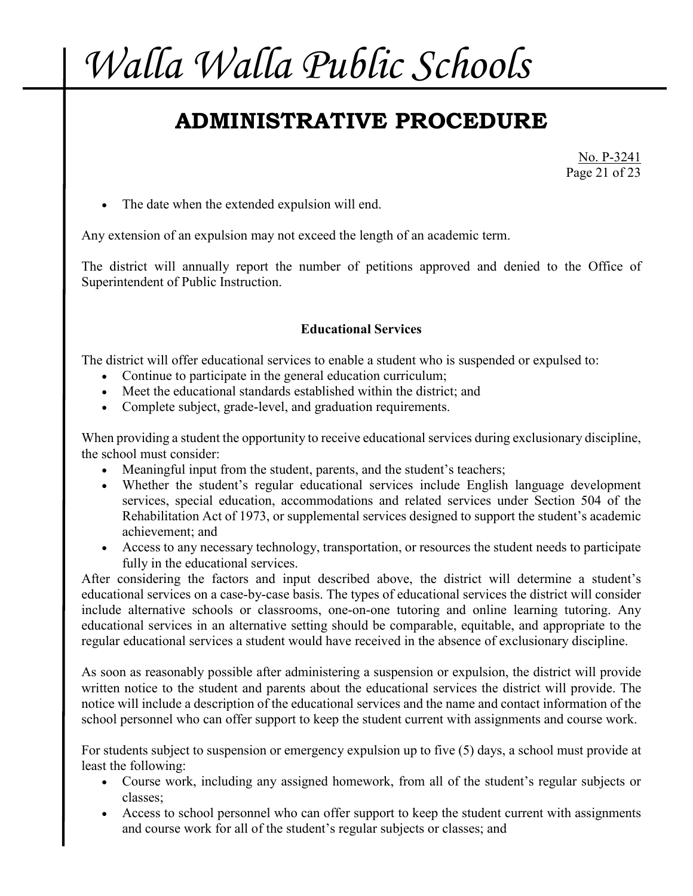## **ADMINISTRATIVE PROCEDURE**

No. P-3241 Page 21 of 23

• The date when the extended expulsion will end.

Any extension of an expulsion may not exceed the length of an academic term.

The district will annually report the number of petitions approved and denied to the Office of Superintendent of Public Instruction.

### **Educational Services**

The district will offer educational services to enable a student who is suspended or expulsed to:

- Continue to participate in the general education curriculum;
- Meet the educational standards established within the district; and
- Complete subject, grade-level, and graduation requirements.

When providing a student the opportunity to receive educational services during exclusionary discipline, the school must consider:

- Meaningful input from the student, parents, and the student's teachers;
- Whether the student's regular educational services include English language development services, special education, accommodations and related services under Section 504 of the Rehabilitation Act of 1973, or supplemental services designed to support the student's academic achievement; and
- Access to any necessary technology, transportation, or resources the student needs to participate fully in the educational services.

After considering the factors and input described above, the district will determine a student's educational services on a case-by-case basis. The types of educational services the district will consider include alternative schools or classrooms, one-on-one tutoring and online learning tutoring. Any educational services in an alternative setting should be comparable, equitable, and appropriate to the regular educational services a student would have received in the absence of exclusionary discipline.

As soon as reasonably possible after administering a suspension or expulsion, the district will provide written notice to the student and parents about the educational services the district will provide. The notice will include a description of the educational services and the name and contact information of the school personnel who can offer support to keep the student current with assignments and course work.

For students subject to suspension or emergency expulsion up to five (5) days, a school must provide at least the following:

- Course work, including any assigned homework, from all of the student's regular subjects or classes;
- Access to school personnel who can offer support to keep the student current with assignments and course work for all of the student's regular subjects or classes; and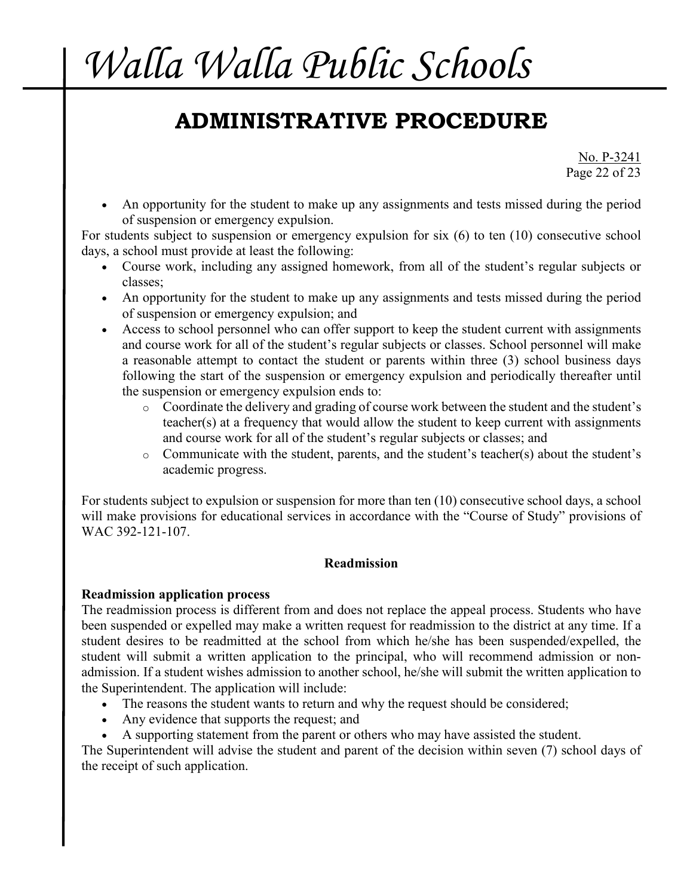## **ADMINISTRATIVE PROCEDURE**

No. P-3241 Page 22 of 23

An opportunity for the student to make up any assignments and tests missed during the period of suspension or emergency expulsion.

For students subject to suspension or emergency expulsion for six (6) to ten (10) consecutive school days, a school must provide at least the following:

- Course work, including any assigned homework, from all of the student's regular subjects or classes;
- An opportunity for the student to make up any assignments and tests missed during the period of suspension or emergency expulsion; and
- Access to school personnel who can offer support to keep the student current with assignments and course work for all of the student's regular subjects or classes. School personnel will make a reasonable attempt to contact the student or parents within three (3) school business days following the start of the suspension or emergency expulsion and periodically thereafter until the suspension or emergency expulsion ends to:
	- o Coordinate the delivery and grading of course work between the student and the student's teacher(s) at a frequency that would allow the student to keep current with assignments and course work for all of the student's regular subjects or classes; and
	- o Communicate with the student, parents, and the student's teacher(s) about the student's academic progress.

For students subject to expulsion or suspension for more than ten (10) consecutive school days, a school will make provisions for educational services in accordance with the "Course of Study" provisions of WAC 392-121-107.

#### **Readmission**

#### **Readmission application process**

The readmission process is different from and does not replace the appeal process. Students who have been suspended or expelled may make a written request for readmission to the district at any time. If a student desires to be readmitted at the school from which he/she has been suspended/expelled, the student will submit a written application to the principal, who will recommend admission or nonadmission. If a student wishes admission to another school, he/she will submit the written application to the Superintendent. The application will include:

- The reasons the student wants to return and why the request should be considered;
- Any evidence that supports the request; and
- A supporting statement from the parent or others who may have assisted the student.

The Superintendent will advise the student and parent of the decision within seven (7) school days of the receipt of such application.